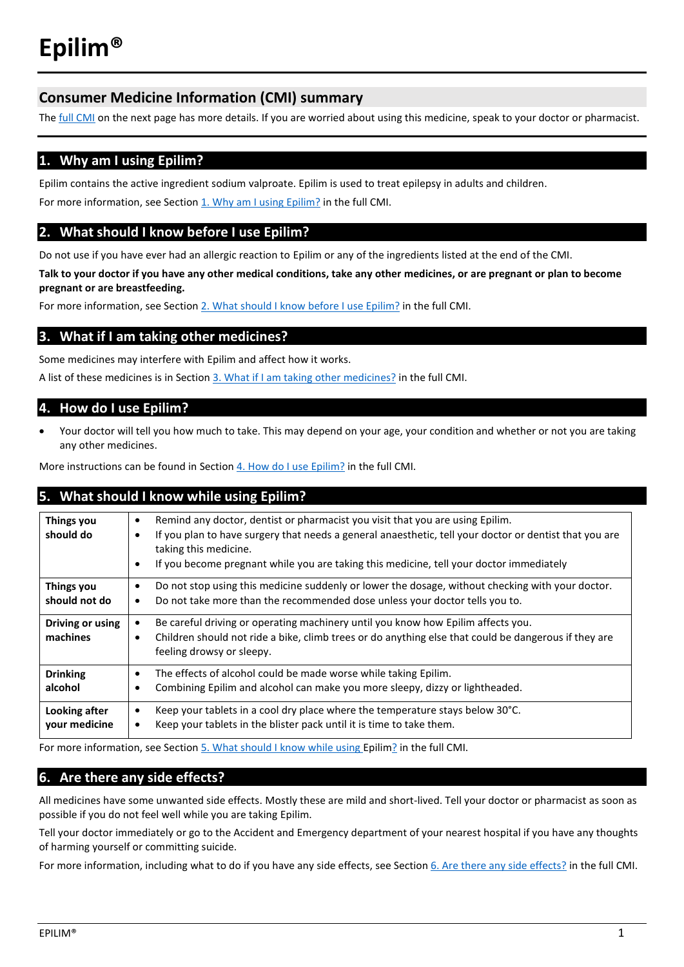# **Consumer Medicine Information (CMI) summary**

The **full CMI** on the next page has more details. If you are worried about using this medicine, speak to your doctor or pharmacist.

## **1. Why am I using Epilim?**

Epilim contains the active ingredient sodium valproate. Epilim is used to treat epilepsy in adults and children. For more information, see Section 1. Why am I using Epilim? in the full CMI.

## **2. What should I know before I use Epilim?**

Do not use if you have ever had an allergic reaction to Epilim or any of the ingredients listed at the end of the CMI.

**Talk to your doctor if you have any other medical conditions, take any other medicines, or are pregnant or plan to become pregnant or are breastfeeding.** 

For more information, see Section [2. What should I know before I use Epilim?](#page-1-1) in the full CMI.

## **3. What if I am taking other medicines?**

Some medicines may interfere with Epilim and affect how it works.

A list of these medicines is in Section [3. What if I am taking other medicines?](#page-2-0) in the full CMI.

## **4. How do I use Epilim?**

• Your doctor will tell you how much to take. This may depend on your age, your condition and whether or not you are taking any other medicines.

More instructions can be found in Section [4. How do I use Epilim?](#page-2-1) in the full CMI.

## **5. What should I know while using Epilim?**

| Things you<br>should do        | Remind any doctor, dentist or pharmacist you visit that you are using Epilim.<br>$\bullet$<br>If you plan to have surgery that needs a general anaesthetic, tell your doctor or dentist that you are<br>$\bullet$<br>taking this medicine.<br>If you become pregnant while you are taking this medicine, tell your doctor immediately<br>$\bullet$ |
|--------------------------------|----------------------------------------------------------------------------------------------------------------------------------------------------------------------------------------------------------------------------------------------------------------------------------------------------------------------------------------------------|
| Things you<br>should not do    | Do not stop using this medicine suddenly or lower the dosage, without checking with your doctor.<br>$\bullet$<br>Do not take more than the recommended dose unless your doctor tells you to.<br>$\bullet$                                                                                                                                          |
| Driving or using<br>machines   | Be careful driving or operating machinery until you know how Epilim affects you.<br>$\bullet$<br>Children should not ride a bike, climb trees or do anything else that could be dangerous if they are<br>$\bullet$<br>feeling drowsy or sleepy.                                                                                                    |
| <b>Drinking</b><br>alcohol     | The effects of alcohol could be made worse while taking Epilim.<br>$\bullet$<br>Combining Epilim and alcohol can make you more sleepy, dizzy or lightheaded.<br>٠                                                                                                                                                                                  |
| Looking after<br>your medicine | Keep your tablets in a cool dry place where the temperature stays below 30°C.<br>$\bullet$<br>Keep your tablets in the blister pack until it is time to take them.<br>$\bullet$                                                                                                                                                                    |

For more information, see Section [5. What should I know while using Epilim?](#page-3-0) in the full CMI.

## **6. Are there any side effects?**

All medicines have some unwanted side effects. Mostly these are mild and short-lived. Tell your doctor or pharmacist as soon as possible if you do not feel well while you are taking Epilim.

Tell your doctor immediately or go to the Accident and Emergency department of your nearest hospital if you have any thoughts of harming yourself or committing suicide.

For more information, including what to do if you have any side effects, see Section [6. Are there any side effects?](#page-4-0) in the full CMI.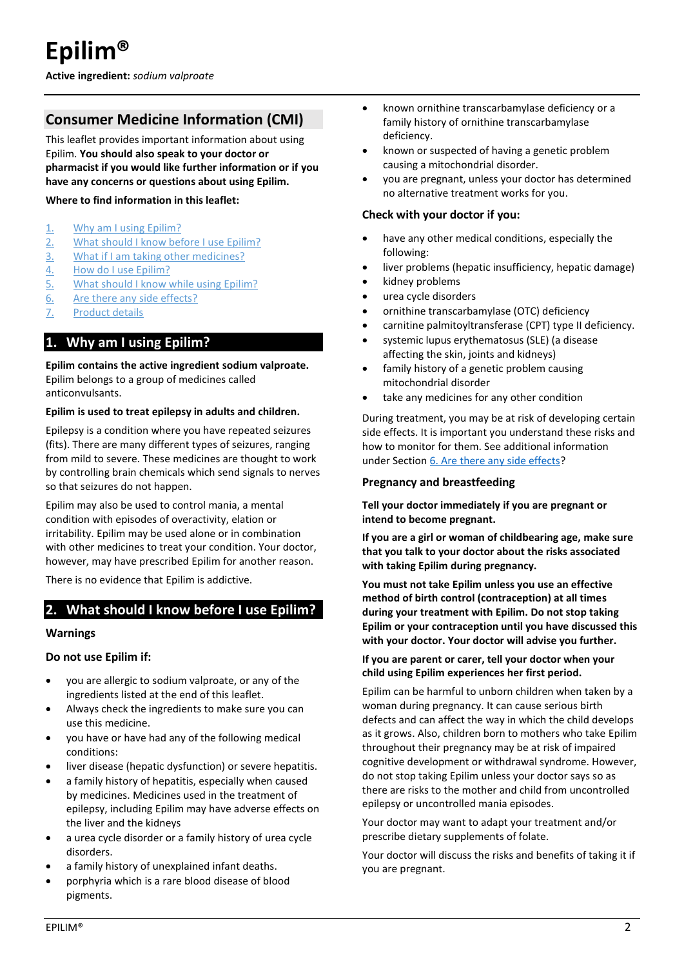<span id="page-1-0"></span>**Active ingredient:** *sodium valproate*

# **Consumer Medicine Information (CMI)**

This leaflet provides important information about using Epilim. **You should also speak to your doctor or pharmacist if you would like further information or if you have any concerns or questions about using Epilim.**

#### **Where to find information in this leaflet:**

- 1. [Why am I using Epilim?](#page-1-2)
- 2. [What should I know before I use Epilim?](#page-1-1)
- 3. [What if I am taking other medicines?](#page-2-0)
- 4. [How do I use Epilim?](#page-2-1)
- 5. [What should I know while using Epilim?](#page-3-0)
- 6. [Are there any side effects?](#page-4-0)
- 7. [Product details](#page-5-0)

## <span id="page-1-2"></span>**1. Why am I using Epilim?**

#### **Epilim contains the active ingredient sodium valproate.** Epilim belongs to a group of medicines called anticonvulsants.

#### **Epilim is used to treat epilepsy in adults and children.**

Epilepsy is a condition where you have repeated seizures (fits). There are many different types of seizures, ranging from mild to severe. These medicines are thought to work by controlling brain chemicals which send signals to nerves so that seizures do not happen.

Epilim may also be used to control mania, a mental condition with episodes of overactivity, elation or irritability. Epilim may be used alone or in combination with other medicines to treat your condition. Your doctor, however, may have prescribed Epilim for another reason.

There is no evidence that Epilim is addictive.

## <span id="page-1-1"></span>**2. What should I know before I use Epilim?**

#### **Warnings**

#### **Do not use Epilim if:**

- you are allergic to sodium valproate, or any of the ingredients listed at the end of this leaflet.
- Always check the ingredients to make sure you can use this medicine.
- you have or have had any of the following medical conditions:
- liver disease (hepatic dysfunction) or severe hepatitis.
- a family history of hepatitis, especially when caused by medicines. Medicines used in the treatment of epilepsy, including Epilim may have adverse effects on the liver and the kidneys
- a urea cycle disorder or a family history of urea cycle disorders.
- a family history of unexplained infant deaths.
- porphyria which is a rare blood disease of blood pigments.
- known ornithine transcarbamylase deficiency or a family history of ornithine transcarbamylase deficiency.
- known or suspected of having a genetic problem causing a mitochondrial disorder.
- you are pregnant, unless your doctor has determined no alternative treatment works for you.

#### **Check with your doctor if you:**

- have any other medical conditions, especially the following:
- liver problems (hepatic insufficiency, hepatic damage)
- kidney problems
- urea cycle disorders
- ornithine transcarbamylase (OTC) deficiency
- carnitine palmitoyltransferase (CPT) type II deficiency.
- systemic lupus erythematosus (SLE) (a disease affecting the skin, joints and kidneys)
- family history of a genetic problem causing mitochondrial disorder
- take any medicines for any other condition

During treatment, you may be at risk of developing certain side effects. It is important you understand these risks and how to monitor for them. See additional information under Section [6. Are there any side effects?](#page-4-0)

#### **Pregnancy and breastfeeding**

**Tell your doctor immediately if you are pregnant or intend to become pregnant.**

**If you are a girl or woman of childbearing age, make sure that you talk to your doctor about the risks associated with taking Epilim during pregnancy.** 

**You must not take Epilim unless you use an effective method of birth control (contraception) at all times during your treatment with Epilim. Do not stop taking Epilim or your contraception until you have discussed this with your doctor. Your doctor will advise you further.**

#### **If you are parent or carer, tell your doctor when your child using Epilim experiences her first period.**

Epilim can be harmful to unborn children when taken by a woman during pregnancy. It can cause serious birth defects and can affect the way in which the child develops as it grows. Also, children born to mothers who take Epilim throughout their pregnancy may be at risk of impaired cognitive development or withdrawal syndrome. However, do not stop taking Epilim unless your doctor says so as there are risks to the mother and child from uncontrolled epilepsy or uncontrolled mania episodes.

Your doctor may want to adapt your treatment and/or prescribe dietary supplements of folate.

Your doctor will discuss the risks and benefits of taking it if you are pregnant.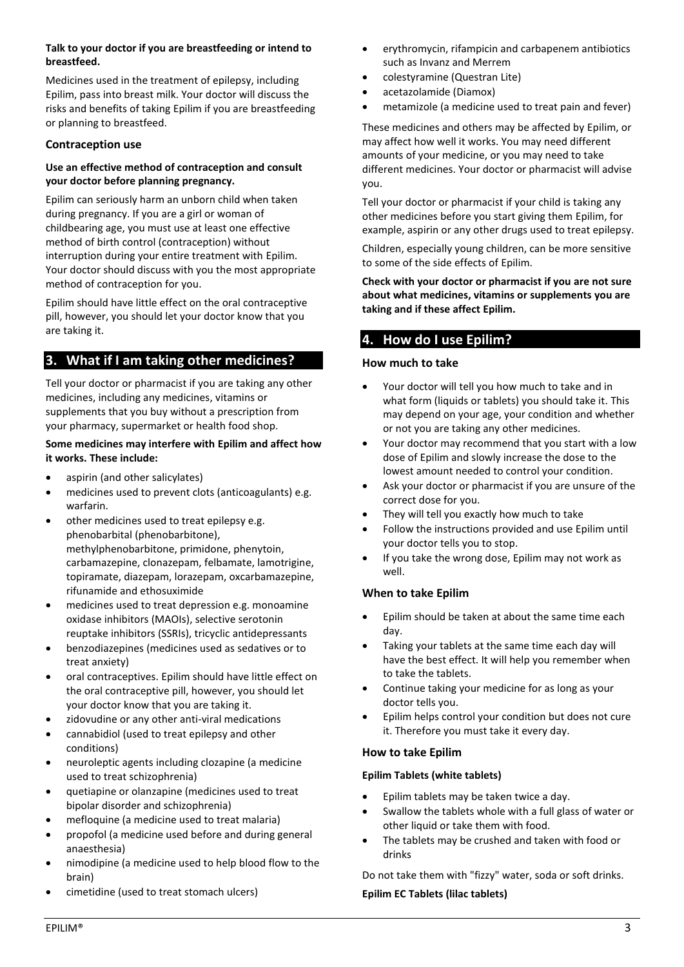#### **Talk to your doctor if you are breastfeeding or intend to breastfeed.**

Medicines used in the treatment of epilepsy, including Epilim, pass into breast milk. Your doctor will discuss the risks and benefits of taking Epilim if you are breastfeeding or planning to breastfeed.

#### **Contraception use**

#### **Use an effective method of contraception and consult your doctor before planning pregnancy.**

Epilim can seriously harm an unborn child when taken during pregnancy. If you are a girl or woman of childbearing age, you must use at least one effective method of birth control (contraception) without interruption during your entire treatment with Epilim. Your doctor should discuss with you the most appropriate method of contraception for you.

Epilim should have little effect on the oral contraceptive pill, however, you should let your doctor know that you are taking it.

## <span id="page-2-0"></span>**3. What if I am taking other medicines?**

Tell your doctor or pharmacist if you are taking any other medicines, including any medicines, vitamins or supplements that you buy without a prescription from your pharmacy, supermarket or health food shop.

#### **Some medicines may interfere with Epilim and affect how it works. These include:**

- aspirin (and other salicylates)
- medicines used to prevent clots (anticoagulants) e.g. warfarin.
- other medicines used to treat epilepsy e.g. phenobarbital (phenobarbitone), methylphenobarbitone, primidone, phenytoin, carbamazepine, clonazepam, felbamate, lamotrigine, topiramate, diazepam, lorazepam, oxcarbamazepine, rifunamide and ethosuximide
- medicines used to treat depression e.g. monoamine oxidase inhibitors (MAOIs), selective serotonin reuptake inhibitors (SSRIs), tricyclic antidepressants
- benzodiazepines (medicines used as sedatives or to treat anxiety)
- oral contraceptives. Epilim should have little effect on the oral contraceptive pill, however, you should let your doctor know that you are taking it.
- zidovudine or any other anti-viral medications
- cannabidiol (used to treat epilepsy and other conditions)
- neuroleptic agents including clozapine (a medicine used to treat schizophrenia)
- quetiapine or olanzapine (medicines used to treat bipolar disorder and schizophrenia)
- mefloquine (a medicine used to treat malaria)
- propofol (a medicine used before and during general anaesthesia)
- nimodipine (a medicine used to help blood flow to the brain)
- cimetidine (used to treat stomach ulcers)
- erythromycin, rifampicin and carbapenem antibiotics such as Invanz and Merrem
- colestyramine (Questran Lite)
- acetazolamide (Diamox)
- metamizole (a medicine used to treat pain and fever)

These medicines and others may be affected by Epilim, or may affect how well it works. You may need different amounts of your medicine, or you may need to take different medicines. Your doctor or pharmacist will advise you.

Tell your doctor or pharmacist if your child is taking any other medicines before you start giving them Epilim, for example, aspirin or any other drugs used to treat epilepsy.

Children, especially young children, can be more sensitive to some of the side effects of Epilim.

**Check with your doctor or pharmacist if you are not sure about what medicines, vitamins or supplements you are taking and if these affect Epilim.**

## <span id="page-2-1"></span>**4. How do I use Epilim?**

#### **How much to take**

- Your doctor will tell you how much to take and in what form (liquids or tablets) you should take it. This may depend on your age, your condition and whether or not you are taking any other medicines.
- Your doctor may recommend that you start with a low dose of Epilim and slowly increase the dose to the lowest amount needed to control your condition.
- Ask your doctor or pharmacist if you are unsure of the correct dose for you.
- They will tell you exactly how much to take
- Follow the instructions provided and use Epilim until your doctor tells you to stop.
- If you take the wrong dose, Epilim may not work as well.

## **When to take Epilim**

- Epilim should be taken at about the same time each day.
- Taking your tablets at the same time each day will have the best effect. It will help you remember when to take the tablets.
- Continue taking your medicine for as long as your doctor tells you.
- Epilim helps control your condition but does not cure it. Therefore you must take it every day.

#### **How to take Epilim**

#### **Epilim Tablets (white tablets)**

- Epilim tablets may be taken twice a day.
- Swallow the tablets whole with a full glass of water or other liquid or take them with food.
- The tablets may be crushed and taken with food or drinks

Do not take them with "fizzy" water, soda or soft drinks.

#### **Epilim EC Tablets (lilac tablets)**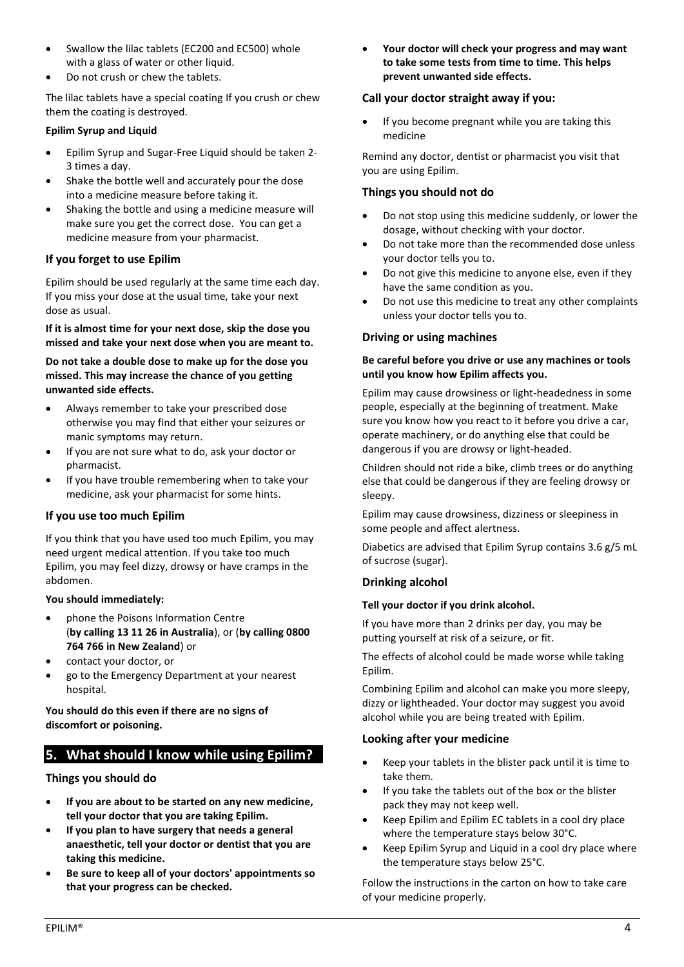- Swallow the lilac tablets (EC200 and EC500) whole with a glass of water or other liquid.
- Do not crush or chew the tablets.

The lilac tablets have a special coating If you crush or chew them the coating is destroyed.

#### **Epilim Syrup and Liquid**

- Epilim Syrup and Sugar-Free Liquid should be taken 2- 3 times a day.
- Shake the bottle well and accurately pour the dose into a medicine measure before taking it.
- Shaking the bottle and using a medicine measure will make sure you get the correct dose. You can get a medicine measure from your pharmacist.

## **If you forget to use Epilim**

Epilim should be used regularly at the same time each day. If you miss your dose at the usual time, take your next dose as usual.

**If it is almost time for your next dose, skip the dose you missed and take your next dose when you are meant to.** 

**Do not take a double dose to make up for the dose you missed. This may increase the chance of you getting unwanted side effects.**

- Always remember to take your prescribed dose otherwise you may find that either your seizures or manic symptoms may return.
- If you are not sure what to do, ask your doctor or pharmacist.
- If you have trouble remembering when to take your medicine, ask your pharmacist for some hints.

## **If you use too much Epilim**

If you think that you have used too much Epilim, you may need urgent medical attention. If you take too much Epilim, you may feel dizzy, drowsy or have cramps in the abdomen.

#### **You should immediately:**

- phone the Poisons Information Centre (**by calling 13 11 26 in Australia**), or (**by calling 0800 764 766 in New Zealand**) or
- contact your doctor, or
- go to the Emergency Department at your nearest hospital.

#### **You should do this even if there are no signs of discomfort or poisoning.**

# <span id="page-3-0"></span>**5. What should I know while using Epilim?**

**Things you should do**

- **If you are about to be started on any new medicine, tell your doctor that you are taking Epilim.**
- **If you plan to have surgery that needs a general anaesthetic, tell your doctor or dentist that you are taking this medicine.**
- **Be sure to keep all of your doctors' appointments so that your progress can be checked.**

• **Your doctor will check your progress and may want to take some tests from time to time. This helps prevent unwanted side effects.**

#### **Call your doctor straight away if you:**

If you become pregnant while you are taking this medicine

Remind any doctor, dentist or pharmacist you visit that you are using Epilim.

### **Things you should not do**

- Do not stop using this medicine suddenly, or lower the dosage, without checking with your doctor.
- Do not take more than the recommended dose unless your doctor tells you to.
- Do not give this medicine to anyone else, even if they have the same condition as you.
- Do not use this medicine to treat any other complaints unless your doctor tells you to.

### **Driving or using machines**

#### **Be careful before you drive or use any machines or tools until you know how Epilim affects you.**

Epilim may cause drowsiness or light-headedness in some people, especially at the beginning of treatment. Make sure you know how you react to it before you drive a car, operate machinery, or do anything else that could be dangerous if you are drowsy or light-headed.

Children should not ride a bike, climb trees or do anything else that could be dangerous if they are feeling drowsy or sleepy.

Epilim may cause drowsiness, dizziness or sleepiness in some people and affect alertness.

Diabetics are advised that Epilim Syrup contains 3.6 g/5 mL of sucrose (sugar).

#### **Drinking alcohol**

#### **Tell your doctor if you drink alcohol.**

If you have more than 2 drinks per day, you may be putting yourself at risk of a seizure, or fit.

The effects of alcohol could be made worse while taking Epilim.

Combining Epilim and alcohol can make you more sleepy, dizzy or lightheaded. Your doctor may suggest you avoid alcohol while you are being treated with Epilim.

#### **Looking after your medicine**

- Keep your tablets in the blister pack until it is time to take them.
- If you take the tablets out of the box or the blister pack they may not keep well.
- Keep Epilim and Epilim EC tablets in a cool dry place where the temperature stays below 30°C.
- Keep Epilim Syrup and Liquid in a cool dry place where the temperature stays below 25°C.

Follow the instructions in the carton on how to take care of your medicine properly.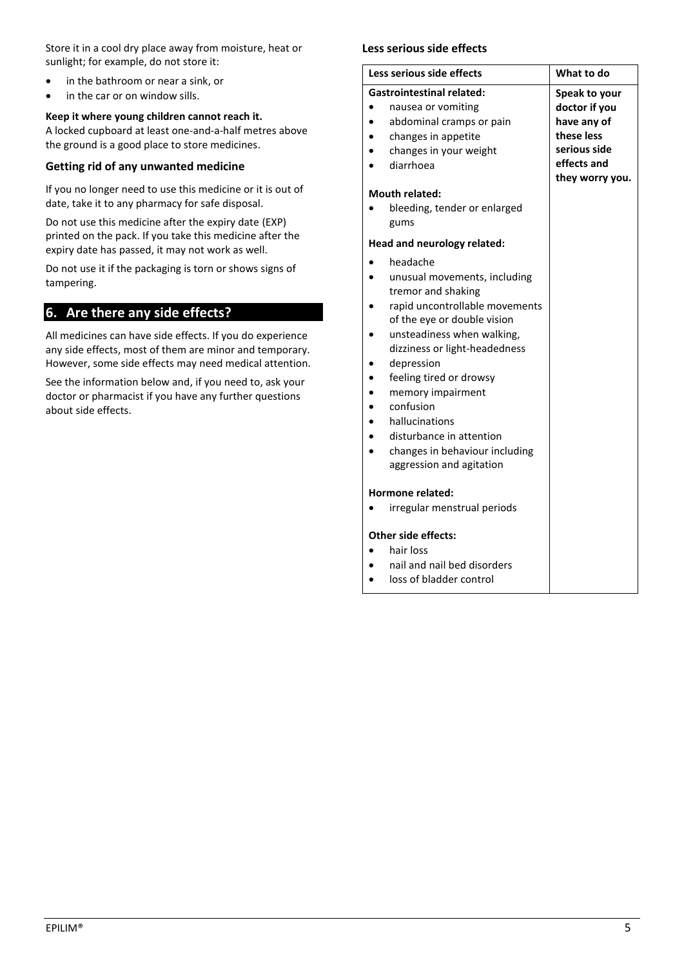Store it in a cool dry place away from moisture, heat or sunlight; for example, do not store it:

- in the bathroom or near a sink, or
- in the car or on window sills.

### **Keep it where young children cannot reach it.**

A locked cupboard at least one-and-a-half metres above the ground is a good place to store medicines.

#### **Getting rid of any unwanted medicine**

If you no longer need to use this medicine or it is out of date, take it to any pharmacy for safe disposal.

Do not use this medicine after the expiry date (EXP) printed on the pack. If you take this medicine after the expiry date has passed, it may not work as well.

Do not use it if the packaging is torn or shows signs of tampering.

## <span id="page-4-0"></span>**6. Are there any side effects?**

All medicines can have side effects. If you do experience any side effects, most of them are minor and temporary. However, some side effects may need medical attention.

See the information below and, if you need to, ask your doctor or pharmacist if you have any further questions about side effects.

#### **Less serious side effects**

| Less serious side effects                                                                                                                                                                                                                                                                                                                                                             | What to do                                                                                                    |
|---------------------------------------------------------------------------------------------------------------------------------------------------------------------------------------------------------------------------------------------------------------------------------------------------------------------------------------------------------------------------------------|---------------------------------------------------------------------------------------------------------------|
| <b>Gastrointestinal related:</b><br>nausea or vomiting<br>abdominal cramps or pain<br>changes in appetite<br>changes in your weight<br>diarrhoea<br><b>Mouth related:</b>                                                                                                                                                                                                             | Speak to your<br>doctor if you<br>have any of<br>these less<br>serious side<br>effects and<br>they worry you. |
| bleeding, tender or enlarged<br>gums                                                                                                                                                                                                                                                                                                                                                  |                                                                                                               |
| Head and neurology related:                                                                                                                                                                                                                                                                                                                                                           |                                                                                                               |
| headache<br>unusual movements, including<br>tremor and shaking<br>rapid uncontrollable movements<br>of the eye or double vision<br>unsteadiness when walking,<br>dizziness or light-headedness<br>depression<br>feeling tired or drowsy<br>memory impairment<br>confusion<br>hallucinations<br>disturbance in attention<br>changes in behaviour including<br>aggression and agitation |                                                                                                               |
| <b>Hormone related:</b>                                                                                                                                                                                                                                                                                                                                                               |                                                                                                               |
| irregular menstrual periods                                                                                                                                                                                                                                                                                                                                                           |                                                                                                               |
| Other side effects:<br>hair loss                                                                                                                                                                                                                                                                                                                                                      |                                                                                                               |
| nail and nail bed disorders                                                                                                                                                                                                                                                                                                                                                           |                                                                                                               |
|                                                                                                                                                                                                                                                                                                                                                                                       |                                                                                                               |

loss of bladder control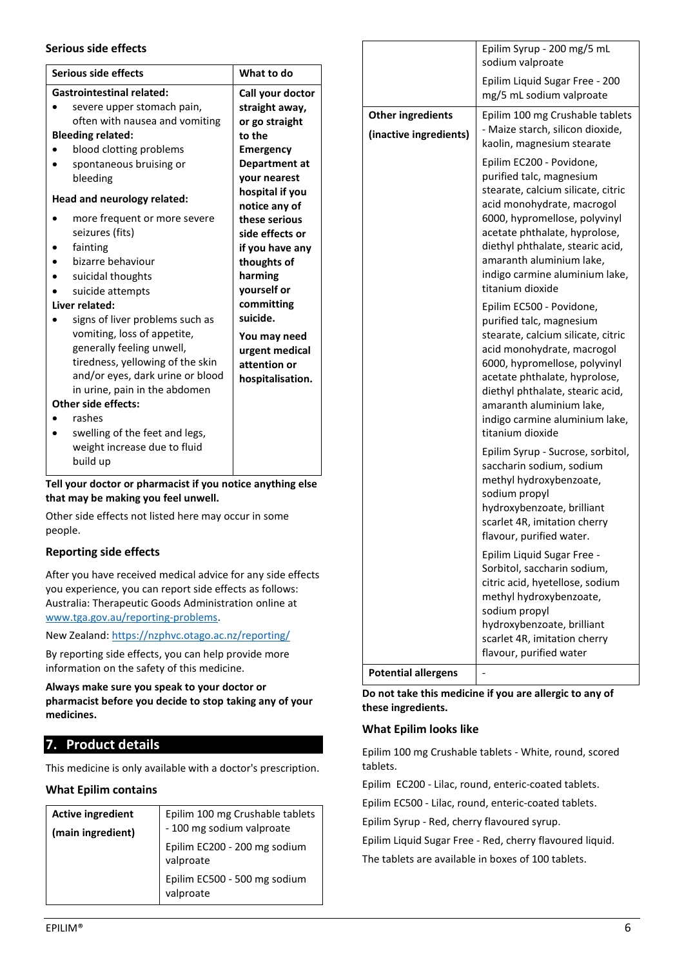#### **Serious side effects**

| Serious side effects             | What to do       |                   |
|----------------------------------|------------------|-------------------|
| <b>Gastrointestinal related:</b> | Call your doctor |                   |
| severe upper stomach pain,       | straight away,   | Other ingredien   |
| often with nausea and vomiting   | or go straight   |                   |
| <b>Bleeding related:</b>         | to the           | (inactive ingredi |
| blood clotting problems          | Emergency        |                   |
| spontaneous bruising or          | Department at    |                   |
| bleeding                         | your nearest     |                   |
| Head and neurology related:      | hospital if you  |                   |
|                                  | notice any of    |                   |
| more frequent or more severe     | these serious    |                   |
| seizures (fits)                  | side effects or  |                   |
| fainting                         | if you have any  |                   |
| bizarre behaviour                | thoughts of      |                   |
| suicidal thoughts                | harming          |                   |
| suicide attempts                 | yourself or      |                   |
| Liver related:                   | committing       |                   |
| signs of liver problems such as  | suicide.         |                   |
| vomiting, loss of appetite,      | You may need     |                   |
| generally feeling unwell,        | urgent medical   |                   |
| tiredness, yellowing of the skin | attention or     |                   |
| and/or eyes, dark urine or blood | hospitalisation. |                   |
| in urine, pain in the abdomen    |                  |                   |
| <b>Other side effects:</b>       |                  |                   |
| rashes                           |                  |                   |
| swelling of the feet and legs,   |                  |                   |
| weight increase due to fluid     |                  |                   |
| build up                         |                  |                   |
|                                  |                  |                   |

## **Tell your doctor or pharmacist if you notice anything else that may be making you feel unwell.**

Other side effects not listed here may occur in some people.

## **Reporting side effects**

After you have received medical advice for any side effects you experience, you can report side effects as follows: Australia: Therapeutic Goods Administration online at [www.tga.gov.au/reporting-problems.](http://www.tga.gov.au/reporting-problems)

New Zealand[: https://nzphvc.otago.ac.nz/reporting/](https://nzphvc.otago.ac.nz/reporting/)

By reporting side effects, you can help provide more information on the safety of this medicine.

**Always make sure you speak to your doctor or pharmacist before you decide to stop taking any of your medicines.**

## <span id="page-5-0"></span>**7. Product details**

This medicine is only available with a doctor's prescription.

#### **What Epilim contains**

| <b>Active ingredient</b><br>(main ingredient) | Epilim 100 mg Crushable tablets<br>- 100 mg sodium valproate<br>Epilim EC200 - 200 mg sodium |
|-----------------------------------------------|----------------------------------------------------------------------------------------------|
|                                               | valproate<br>Epilim EC500 - 500 mg sodium<br>valproate                                       |

|                            | Epilim Syrup - 200 mg/5 mL<br>sodium valproate                                                                                                                                                                                                                                                                   |
|----------------------------|------------------------------------------------------------------------------------------------------------------------------------------------------------------------------------------------------------------------------------------------------------------------------------------------------------------|
|                            | Epilim Liquid Sugar Free - 200<br>mg/5 mL sodium valproate                                                                                                                                                                                                                                                       |
| <b>Other ingredients</b>   | Epilim 100 mg Crushable tablets                                                                                                                                                                                                                                                                                  |
| (inactive ingredients)     | - Maize starch, silicon dioxide,<br>kaolin, magnesium stearate                                                                                                                                                                                                                                                   |
|                            | Epilim EC200 - Povidone,<br>purified talc, magnesium<br>stearate, calcium silicate, citric<br>acid monohydrate, macrogol<br>6000, hypromellose, polyvinyl<br>acetate phthalate, hyprolose,<br>diethyl phthalate, stearic acid,<br>amaranth aluminium lake,<br>indigo carmine aluminium lake,<br>titanium dioxide |
|                            | Epilim EC500 - Povidone,<br>purified talc, magnesium<br>stearate, calcium silicate, citric<br>acid monohydrate, macrogol<br>6000, hypromellose, polyvinyl<br>acetate phthalate, hyprolose,<br>diethyl phthalate, stearic acid,<br>amaranth aluminium lake,<br>indigo carmine aluminium lake,<br>titanium dioxide |
|                            | Epilim Syrup - Sucrose, sorbitol,<br>saccharin sodium, sodium<br>methyl hydroxybenzoate,<br>sodium propyl<br>hydroxybenzoate, brilliant<br>scarlet 4R, imitation cherry<br>flavour, purified water.                                                                                                              |
|                            | Epilim Liquid Sugar Free<br>Sorbitol, saccharin sodium,<br>citric acid, hyetellose, sodium<br>methyl hydroxybenzoate,<br>sodium propyl                                                                                                                                                                           |
|                            | hydroxybenzoate, brilliant<br>scarlet 4R, imitation cherry                                                                                                                                                                                                                                                       |
|                            | flavour, purified water                                                                                                                                                                                                                                                                                          |
| <b>Potential allergens</b> |                                                                                                                                                                                                                                                                                                                  |

**Do not take this medicine if you are allergic to any of these ingredients.**

#### **What Epilim looks like**

Epilim 100 mg Crushable tablets - White, round, scored tablets.

Epilim EC200 - Lilac, round, enteric-coated tablets.

Epilim EC500 - Lilac, round, enteric-coated tablets.

Epilim Syrup - Red, cherry flavoured syrup.

Epilim Liquid Sugar Free - Red, cherry flavoured liquid. The tablets are available in boxes of 100 tablets.